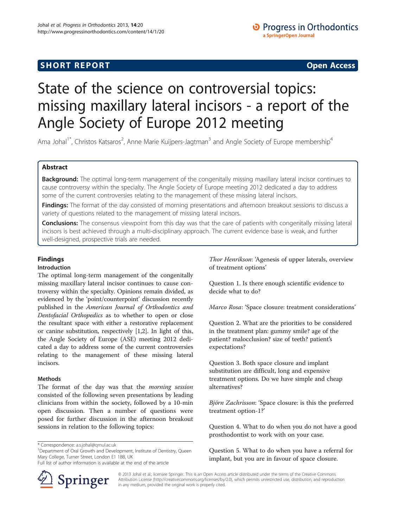# **SHORT REPORT CONTRACT CONTRACT CONTRACT CONTRACT CONTRACT CONTRACT CONTRACT CONTRACT CONTRACT CONTRACT CONTRACT CONTRACT CONTRACT CONTRACT CONTRACT CONTRACT CONTRACT CONTRACT CONTRACT CONTRACT CONTRACT CONTRACT CONTRACT C**

## O Progress in Orthodontics a SpringerOpen Journal

# State of the science on controversial topics: missing maxillary lateral incisors - a report of the Angle Society of Europe 2012 meeting

Ama Johal<sup>1\*</sup>, Christos Katsaros<sup>2</sup>, Anne Marie Kuijpers-Jagtman<sup>3</sup> and Angle Society of Europe membership<sup>4</sup>

## Abstract

Background: The optimal long-term management of the congenitally missing maxillary lateral incisor continues to cause controversy within the specialty. The Angle Society of Europe meeting 2012 dedicated a day to address some of the current controversies relating to the management of these missing lateral incisors.

Findings: The format of the day consisted of morning presentations and afternoon breakout sessions to discuss a variety of questions related to the management of missing lateral incisors.

**Conclusions:** The consensus viewpoint from this day was that the care of patients with congenitally missing lateral incisors is best achieved through a multi-disciplinary approach. The current evidence base is weak, and further well-designed, prospective trials are needed.

## Findings

### Introduction

The optimal long-term management of the congenitally missing maxillary lateral incisor continues to cause controversy within the specialty. Opinions remain divided, as evidenced by the 'point/counterpoint' discussion recently published in the American Journal of Orthodontics and Dentofacial Orthopedics as to whether to open or close the resultant space with either a restorative replacement or canine substitution, respectively [[1,2](#page-3-0)]. In light of this, the Angle Society of Europe (ASE) meeting 2012 dedicated a day to address some of the current controversies relating to the management of these missing lateral incisors.

## Methods

The format of the day was that the *morning session* consisted of the following seven presentations by leading clinicians from within the society, followed by a 10-min open discussion. Then a number of questions were posed for further discussion in the afternoon breakout sessions in relation to the following topics:

\* Correspondence: [a.s.johal@qmul.ac.uk](mailto:a.s.johal@qmul.ac.uk) <sup>1</sup>

<sup>1</sup>Department of Oral Growth and Development, Institute of Dentistry, Queen Mary College, Turner Street, London E1 1BB, UK

Full list of author information is available at the end of the article



Thor Henrikson: 'Agenesis of upper laterals, overview of treatment options'

Question 1. Is there enough scientific evidence to decide what to do?

Marco Rosa: 'Space closure: treatment considerations'

Question 2. What are the priorities to be considered in the treatment plan: gummy smile? age of the patient? malocclusion? size of teeth? patient's expectations?

Question 3. Both space closure and implant substitution are difficult, long and expensive treatment options. Do we have simple and cheap alternatives?

Björn Zachrisson: 'Space closure: is this the preferred treatment option-1?'

Question 4. What to do when you do not have a good prosthodontist to work with on your case.

Question 5. What to do when you have a referral for implant, but you are in favour of space closure.

© 2013 Johal et al.; licensee Springer. This is an Open Access article distributed under the terms of the Creative Commons Attribution License [\(http://creativecommons.org/licenses/by/2.0\)](http://creativecommons.org/licenses/by/2.0), which permits unrestricted use, distribution, and reproduction in any medium, provided the original work is properly cited.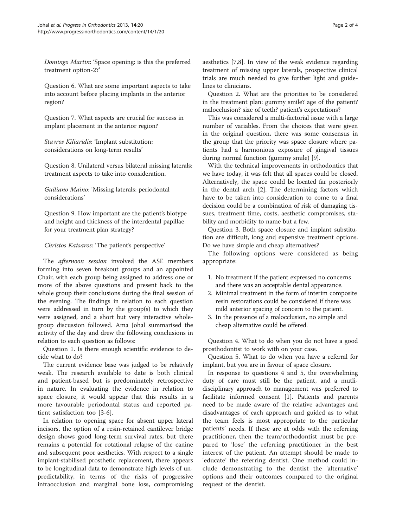Domingo Martin: 'Space opening: is this the preferred treatment option-2?'

Question 6. What are some important aspects to take into account before placing implants in the anterior region?

Question 7. What aspects are crucial for success in implant placement in the anterior region?

Stavros Kiliaridis: 'Implant substitution: considerations on long-term results'

Question 8. Unilateral versus bilateral missing laterals: treatment aspects to take into consideration.

Guiliano Maino: 'Missing laterals: periodontal considerations'

Question 9. How important are the patient's biotype and height and thickness of the interdental papillae for your treatment plan strategy?

## Christos Katsaros: 'The patient's perspective'

The afternoon session involved the ASE members forming into seven breakout groups and an appointed Chair, with each group being assigned to address one or more of the above questions and present back to the whole group their conclusions during the final session of the evening. The findings in relation to each question were addressed in turn by the group(s) to which they were assigned, and a short but very interactive wholegroup discussion followed. Ama Johal summarised the activity of the day and drew the following conclusions in relation to each question as follows:

Question 1. Is there enough scientific evidence to decide what to do?

The current evidence base was judged to be relatively weak. The research available to date is both clinical and patient-based but is predominately retrospective in nature. In evaluating the evidence in relation to space closure, it would appear that this results in a more favourable periodontal status and reported patient satisfaction too [\[3](#page-3-0)-[6](#page-3-0)].

In relation to opening space for absent upper lateral incisors, the option of a resin-retained cantilever bridge design shows good long-term survival rates, but there remains a potential for rotational relapse of the canine and subsequent poor aesthetics. With respect to a single implant-stabilised prosthetic replacement, there appears to be longitudinal data to demonstrate high levels of unpredictability, in terms of the risks of progressive infraocclusion and marginal bone loss, compromising

aesthetics [\[7,8](#page-3-0)]. In view of the weak evidence regarding treatment of missing upper laterals, prospective clinical trials are much needed to give further light and guidelines to clinicians.

Question 2. What are the priorities to be considered in the treatment plan: gummy smile? age of the patient? malocclusion? size of teeth? patient's expectations?

This was considered a multi-factorial issue with a large number of variables. From the choices that were given in the original question, there was some consensus in the group that the priority was space closure where patients had a harmonious exposure of gingival tissues during normal function (gummy smile) [[9\]](#page-3-0).

With the technical improvements in orthodontics that we have today, it was felt that all spaces could be closed. Alternatively, the space could be located far posteriorly in the dental arch [\[2](#page-3-0)]. The determining factors which have to be taken into consideration to come to a final decision could be a combination of risk of damaging tissues, treatment time, costs, aesthetic compromises, stability and morbidity to name but a few.

Question 3. Both space closure and implant substitution are difficult, long and expensive treatment options. Do we have simple and cheap alternatives?

The following options were considered as being appropriate:

- 1. No treatment if the patient expressed no concerns and there was an acceptable dental appearance.
- 2. Minimal treatment in the form of interim composite resin restorations could be considered if there was mild anterior spacing of concern to the patient.
- 3. In the presence of a malocclusion, no simple and cheap alternative could be offered.

Question 4. What to do when you do not have a good prosthodontist to work with on your case.

Question 5. What to do when you have a referral for implant, but you are in favour of space closure.

In response to questions 4 and 5, the overwhelming duty of care must still be the patient, and a mutlidisciplinary approach to management was preferred to facilitate informed consent [\[1\]](#page-3-0). Patients and parents need to be made aware of the relative advantages and disadvantages of each approach and guided as to what the team feels is most appropriate to the particular patients' needs. If these are at odds with the referring practitioner, then the team/orthodontist must be prepared to 'lose' the referring practitioner in the best interest of the patient. An attempt should be made to 'educate' the referring dentist. One method could include demonstrating to the dentist the 'alternative' options and their outcomes compared to the original request of the dentist.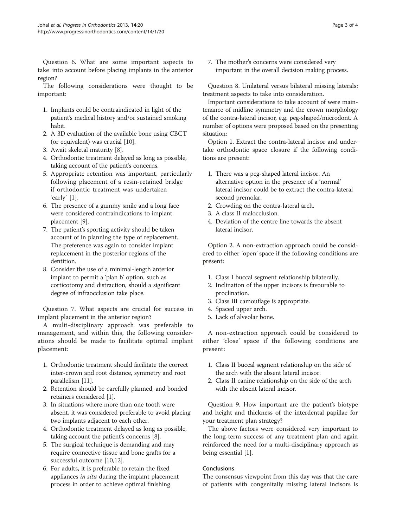Question 6. What are some important aspects to take into account before placing implants in the anterior region?

The following considerations were thought to be important:

- 1. Implants could be contraindicated in light of the patient's medical history and/or sustained smoking habit.
- 2. A 3D evaluation of the available bone using CBCT (or equivalent) was crucial [\[10\]](#page-3-0).
- 3. Await skeletal maturity [[8\]](#page-3-0).
- 4. Orthodontic treatment delayed as long as possible, taking account of the patient's concerns.
- 5. Appropriate retention was important, particularly following placement of a resin-retained bridge if orthodontic treatment was undertaken 'early' [[1\]](#page-3-0).
- 6. The presence of a gummy smile and a long face were considered contraindications to implant placement [[9\]](#page-3-0).
- 7. The patient's sporting activity should be taken account of in planning the type of replacement. The preference was again to consider implant replacement in the posterior regions of the dentition.
- 8. Consider the use of a minimal-length anterior implant to permit a 'plan b' option, such as corticotomy and distraction, should a significant degree of infraocclusion take place.

Question 7. What aspects are crucial for success in implant placement in the anterior region?

A multi-disciplinary approach was preferable to management, and within this, the following considerations should be made to facilitate optimal implant placement:

- 1. Orthodontic treatment should facilitate the correct inter-crown and root distance, symmetry and root parallelism [[11](#page-3-0)].
- 2. Retention should be carefully planned, and bonded retainers considered [[1](#page-3-0)].
- 3. In situations where more than one tooth were absent, it was considered preferable to avoid placing two implants adjacent to each other.
- 4. Orthodontic treatment delayed as long as possible, taking account the patient's concerns [\[8\]](#page-3-0).
- 5. The surgical technique is demanding and may require connective tissue and bone grafts for a successful outcome [\[10,12\]](#page-3-0).
- 6. For adults, it is preferable to retain the fixed appliances in situ during the implant placement process in order to achieve optimal finishing.

7. The mother's concerns were considered very important in the overall decision making process.

Question 8. Unilateral versus bilateral missing laterals: treatment aspects to take into consideration.

Important considerations to take account of were maintenance of midline symmetry and the crown morphology of the contra-lateral incisor, e.g. peg-shaped/microdont. A number of options were proposed based on the presenting situation:

Option 1. Extract the contra-lateral incisor and undertake orthodontic space closure if the following conditions are present:

- 1. There was a peg-shaped lateral incisor. An alternative option in the presence of a 'normal' lateral incisor could be to extract the contra-lateral second premolar.
- 2. Crowding on the contra-lateral arch.
- 3. A class II malocclusion.
- 4. Deviation of the centre line towards the absent lateral incisor.

Option 2. A non-extraction approach could be considered to either 'open' space if the following conditions are present:

- 1. Class I buccal segment relationship bilaterally.
- 2. Inclination of the upper incisors is favourable to proclination.
- 3. Class III camouflage is appropriate.
- 4. Spaced upper arch.
- 5. Lack of alveolar bone.

A non-extraction approach could be considered to either 'close' space if the following conditions are present:

- 1. Class II buccal segment relationship on the side of the arch with the absent lateral incisor.
- 2. Class II canine relationship on the side of the arch with the absent lateral incisor.

Question 9. How important are the patient's biotype and height and thickness of the interdental papillae for your treatment plan strategy?

The above factors were considered very important to the long-term success of any treatment plan and again reinforced the need for a multi-disciplinary approach as being essential [\[1](#page-3-0)].

## Conclusions

The consensus viewpoint from this day was that the care of patients with congenitally missing lateral incisors is